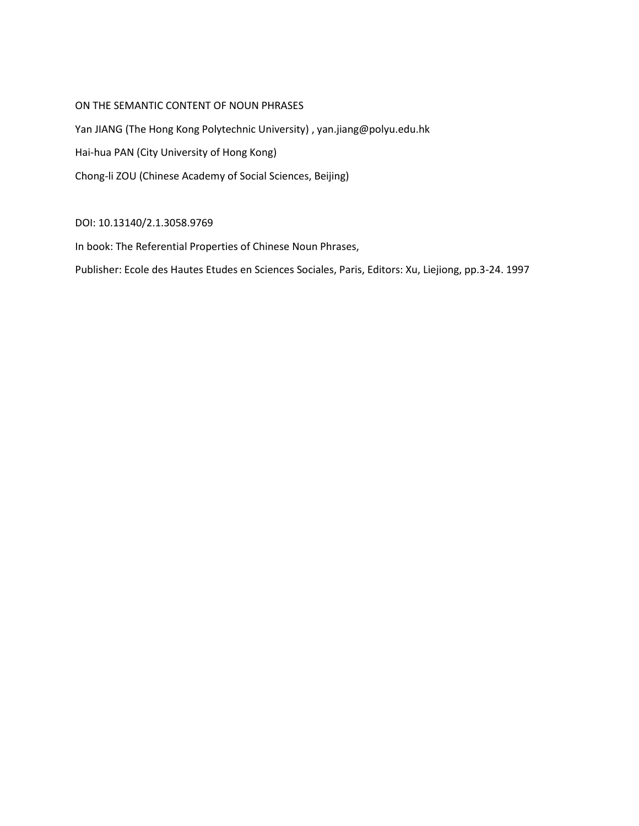# ON THE SEMANTIC CONTENT OF NOUN PHRASES

Yan JIANG (The Hong Kong Polytechnic University) , yan.jiang@polyu.edu.hk Hai-hua PAN (City University of Hong Kong) Chong-li ZOU (Chinese Academy of Social Sciences, Beijing)

# DOI: 10.13140/2.1.3058.9769

In book: The Referential Properties of Chinese Noun Phrases,

Publisher: Ecole des Hautes Etudes en Sciences Sociales, Paris, Editors: Xu, Liejiong, pp.3-24. 1997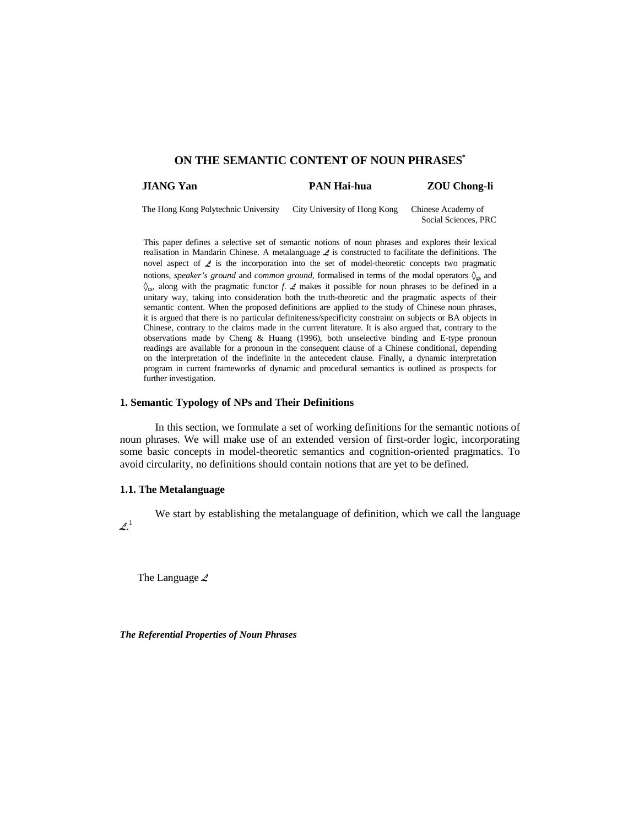# **ON THE SEMANTIC CONTENT OF NOUN PHRASES\***

| JIANG Yan | <b>PAN Hai-hua</b> | <b>ZOU Chong-li</b> |
|-----------|--------------------|---------------------|
|           |                    |                     |

The Hong Kong Polytechnic University City University of Hong Kong Chinese Academy of Social Sciences, PRC

This paper defines a selective set of semantic notions of noun phrases and explores their lexical realisation in Mandarin Chinese. A metalanguage  $\angle$  is constructed to facilitate the definitions. The novel aspect of  $\angle$  is the incorporation into the set of model-theoretic concepts two pragmatic notions, *speaker's ground* and *common ground*, formalised in terms of the modal operators  $\mathcal{O}_{\text{ex}}$  and  $\delta_{\rm cs}$ , along with the pragmatic functor *f*.  $\angle$  makes it possible for noun phrases to be defined in a unitary way, taking into consideration both the truth-theoretic and the pragmatic aspects of their semantic content. When the proposed definitions are applied to the study of Chinese noun phrases, it is argued that there is no particular definiteness/specificity constraint on subjects or BA objects in Chinese, contrary to the claims made in the current literature. It is also argued that, contrary to the observations made by Cheng & Huang (1996), both unselective binding and E-type pronoun readings are available for a pronoun in the consequent clause of a Chinese conditional, depending on the interpretation of the indefinite in the antecedent clause. Finally, a dynamic interpretation program in current frameworks of dynamic and procedural semantics is outlined as prospects for further investigation.

# **1. Semantic Typology of NPs and Their Definitions**

In this section, we formulate a set of working definitions for the semantic notions of noun phrases. We will make use of an extended version of first-order logic, incorporating some basic concepts in model-theoretic semantics and cognition-oriented pragmatics. To avoid circularity, no definitions should contain notions that are yet to be defined.

# **1.1. The Metalanguage**

 $\mathcal{L}^1$ 

We start by establishing the metalanguage of definition, which we call the language

The Language */*

*The Referential Properties of Noun Phrases*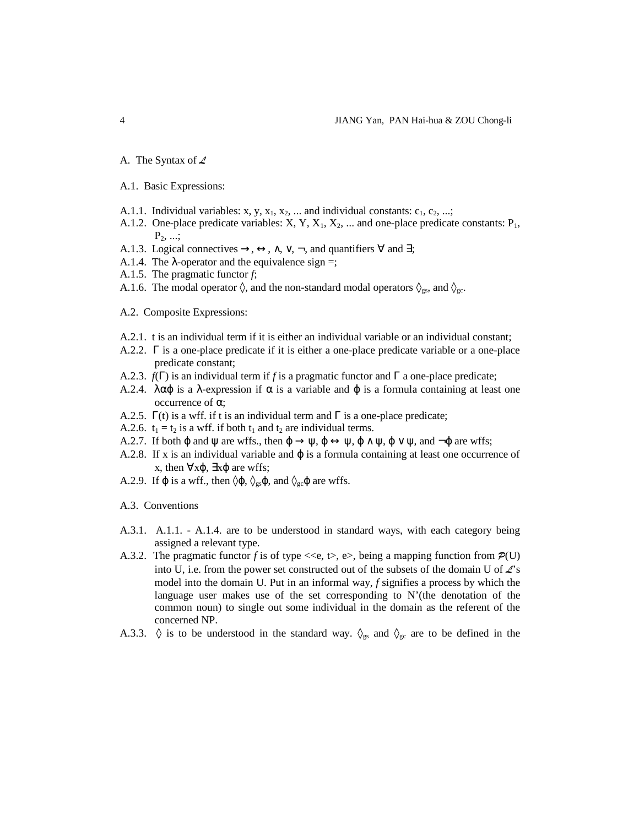- A. The Syntax of  $\angle$
- A.1. Basic Expressions:
- A.1.1. Individual variables: x, y,  $x_1$ ,  $x_2$ , ... and individual constants:  $c_1$ ,  $c_2$ , ...;
- A.1.2. One-place predicate variables:  $X, Y, X_1, X_2, ...$  and one-place predicate constants:  $P_1$ ,  $P_2, \ldots;$
- A.1.3. Logical connectives  $\rightarrow$ ,  $\leftrightarrow$ ,  $\land$ ,  $\lor$ ,  $\neg$ , and quantifiers  $\forall$  and  $\exists$ ;
- A.1.4. The  $\lambda$ -operator and the equivalence sign =;
- A.1.5. The pragmatic functor *f*;
- A.1.6. The modal operator  $\Diamond$ , and the non-standard modal operators  $\Diamond_{gs}$ , and  $\Diamond_{gc}$ .
- A.2. Composite Expressions:
- A.2.1. t is an individual term if it is either an individual variable or an individual constant;
- A.2.2. Γ is a one-place predicate if it is either a one-place predicate variable or a one-place predicate constant;
- A.2.3. *f*(Γ) is an individual term if *f* is a pragmatic functor and Γ a one-place predicate;
- A.2.4. λαφ is a λ-expression if  $\alpha$  is a variable and φ is a formula containing at least one occurrence of α;
- A.2.5.  $\Gamma(t)$  is a wff. if t is an individual term and  $\Gamma$  is a one-place predicate;
- A.2.6.  $t_1 = t_2$  is a wff. if both  $t_1$  and  $t_2$  are individual terms.
- A.2.7. If both  $\varphi$  and  $\psi$  are wffs., then  $\varphi \to \psi$ ,  $\varphi \leftrightarrow \psi$ ,  $\varphi \land \psi$ ,  $\varphi \lor \psi$ , and  $\neg \varphi$  are wffs;
- A.2.8. If x is an individual variable and  $\varphi$  is a formula containing at least one occurrence of x, then  $\forall x \varphi$ ,  $\exists x \varphi$  are wffs;
- A.2.9. If  $\varphi$  is a wff., then  $\Diamond \varphi$ ,  $\Diamond_{gs} \varphi$ , and  $\Diamond_{gc} \varphi$  are wffs.

A.3. Conventions

- A.3.1. A.1.1. A.1.4. are to be understood in standard ways, with each category being assigned a relevant type.
- A.3.2. The pragmatic functor f is of type  $\ll\epsilon$ ,  $\epsilon$ ,  $\epsilon$ ,  $\epsilon$ , being a mapping function from  $\mathcal{P}(U)$ into U, i.e. from the power set constructed out of the subsets of the domain U of  $\mathcal{L}$ 's model into the domain U. Put in an informal way, *f* signifies a process by which the language user makes use of the set corresponding to N'(the denotation of the common noun) to single out some individual in the domain as the referent of the concerned NP.
- A.3.3.  $\Diamond$  is to be understood in the standard way.  $\Diamond$ <sub>gs</sub> and  $\Diamond$ <sub>gc</sub> are to be defined in the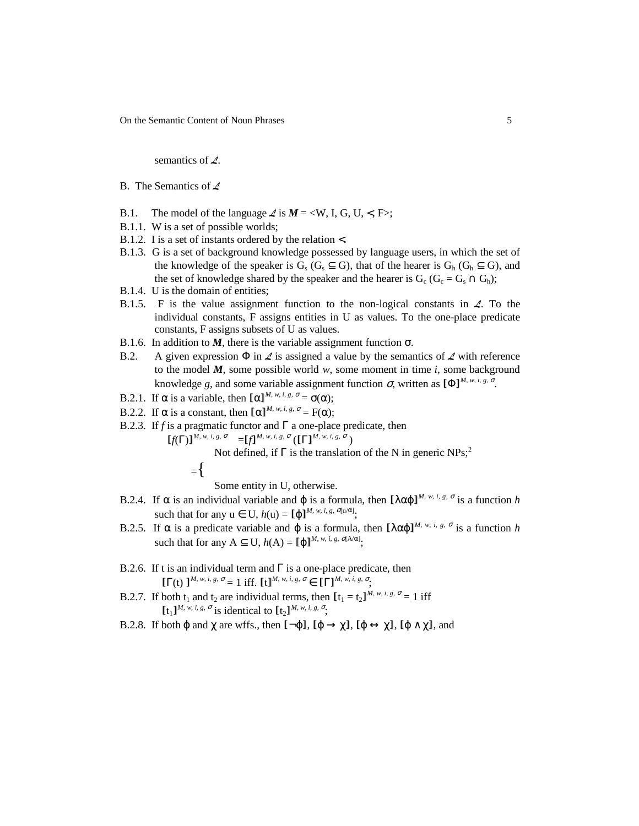On the Semantic Content of Noun Phrases 5

semantics of */*.

- B. The Semantics of */*
- B.1. The model of the language  $\angle$  is  $M = \langle W, I, G, U, \langle F \rangle;$
- B.1.1. W is a set of possible worlds;
- B.1.2. I is a set of instants ordered by the relation <.
- B.1.3. G is a set of background knowledge possessed by language users, in which the set of the knowledge of the speaker is  $G_s$  ( $G_s \subseteq G$ ), that of the hearer is  $G_h$  ( $G_h \subseteq G$ ), and the set of knowledge shared by the speaker and the hearer is  $G_c$  ( $G_c = G_s \cap G_h$ );
- B.1.4. U is the domain of entities;
- B.1.5. F is the value assignment function to the non-logical constants in  $\mathcal{L}$ . To the individual constants, F assigns entities in U as values. To the one-place predicate constants, F assigns subsets of U as values.
- B.1.6. In addition to  $M$ , there is the variable assignment function  $\sigma$ .
- B.2. A given expression  $\Phi$  in  $\mathcal{L}$  is assigned a value by the semantics of  $\mathcal{L}$  with reference to the model  $M$ , some possible world  $w$ , some moment in time  $i$ , some background knowledge *g*, and some variable assignment function  $\sigma$ , written as  $[\Phi]^{M, w, i, g, \sigma}$ .
- B.2.1. If  $\alpha$  is a variable, then  $[\alpha]^{M, w, i, g, \sigma} = \sigma(\alpha);$
- B.2.2. If  $\alpha$  is a constant, then  $[\alpha]^{M, w, i, g, \sigma} = F(\alpha);$
- B.2.3. If *f* is a pragmatic functor and Γ a one-place predicate, then
- $\llbracket f(\Gamma) \rrbracket^{M, w, i, g, \sigma} = \llbracket f \rrbracket^{M, w, i, g, \sigma} (\llbracket \Gamma \rrbracket^{M, w, i, g, \sigma})$

Not defined, if  $\Gamma$  is the translation of the N in generic NPs;<sup>2</sup>

$$
= \biggl\{
$$

Some entity in U, otherwise.

- B.2.4. If  $\alpha$  is an individual variable and  $\varphi$  is a formula, then  $[\lambda \alpha \varphi]^{M, w, i, g, \sigma}$  is a function *h* such that for any  $u \in U$ ,  $h(u) = [\phi]^{M, w, i, g, \sigma[u/\alpha]}$ ;
- B.2.5. If α is a predicate variable and  $\varphi$  is a formula, then  $[\lambda \alpha \varphi]^{M, w, i, g, \sigma}$  is a function *h* such that for any  $A \subseteq U$ ,  $h(A) = [\phi]^{M, w, i, g, \sigma[A/\alpha]},$
- B.2.6. If t is an individual term and  $\Gamma$  is a one-place predicate, then  $[\Gamma(t)]^{M, w, i, g, \sigma} = 1$  iff.  $[t]^{M, w, i, g, \sigma} \in [\Gamma]^{M, w, i, g, \sigma}$ ;
- B.2.7. If both  $t_1$  and  $t_2$  are individual terms, then  $[t_1 = t_2]^{M, w, i, g, \sigma} = 1$  iff  $[t_1]^{M, w, i, g, \sigma}$  is identical to  $[t_2]^{M, w, i, g, \sigma}$ ;
- B.2.8. If both  $\varphi$  and  $\chi$  are wffs., then  $\lbrack -\varphi \rbrack$ ,  $\lbrack \varphi \rightarrow \chi \rbrack$ ,  $\lbrack \varphi \leftrightarrow \chi \rbrack$ ,  $\lbrack \varphi \wedge \chi \rbrack$ , and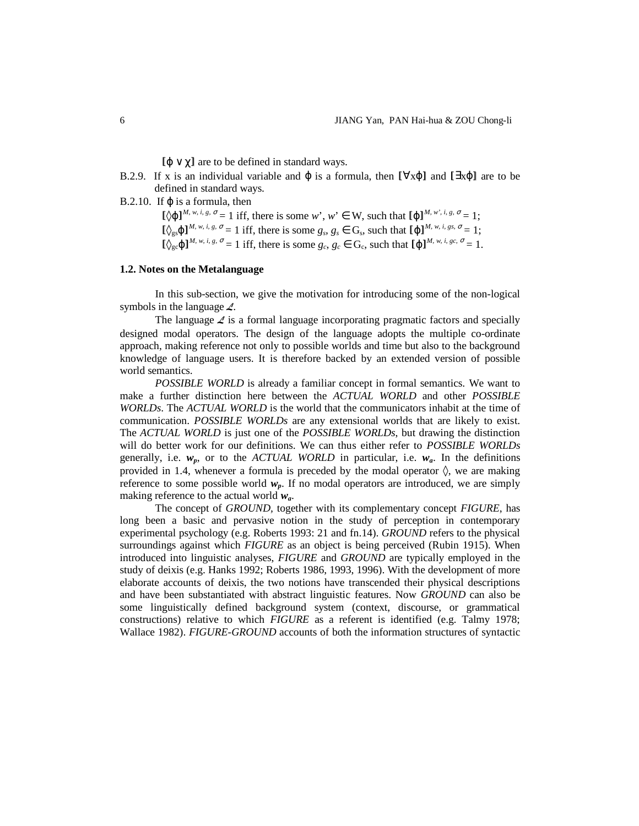$[**ω** \vee **γ**]$  are to be defined in standard ways.

- B.2.9. If x is an individual variable and  $\varphi$  is a formula, then  $[\forall x\varphi]$  and  $[\exists x\varphi]$  are to be defined in standard ways.
- B.2.10. If  $\varphi$  is a formula, then

 $[\Diamond \varphi]^{M, w, i, g, \sigma} = 1$  iff, there is some  $w', w' \in W$ , such that  $[\varphi]^{M, w', i, g, \sigma} = 1$ ;  $[\&e_{gs} \phi]^{M, w, i, g, \sigma} = 1$  iff, there is some  $g_s, g_s \in G_s$ , such that  $[\![\phi]\!]^{M, w, i, g_s, \sigma} = 1;$  $[\&e_{\text{gc}}\φ]^{M, w, i, g, \sigma} = 1$  iff, there is some  $g_c, g_c \in G_c$ , such that  $[\![\phi]\!]^{M, w, i, g_c, \sigma} = 1$ .

### **1.2. Notes on the Metalanguage**

In this sub-section, we give the motivation for introducing some of the non-logical symbols in the language */*.

The language  $\angle$  is a formal language incorporating pragmatic factors and specially designed modal operators. The design of the language adopts the multiple co-ordinate approach, making reference not only to possible worlds and time but also to the background knowledge of language users. It is therefore backed by an extended version of possible world semantics.

*POSSIBLE WORLD* is already a familiar concept in formal semantics. We want to make a further distinction here between the *ACTUAL WORLD* and other *POSSIBLE WORLDs*. The *ACTUAL WORLD* is the world that the communicators inhabit at the time of communication. *POSSIBLE WORLDs* are any extensional worlds that are likely to exist. The *ACTUAL WORLD* is just one of the *POSSIBLE WORLDs*, but drawing the distinction will do better work for our definitions. We can thus either refer to *POSSIBLE WORLDs* generally, i.e.  $w_p$ , or to the *ACTUAL WORLD* in particular, i.e.  $w_a$ . In the definitions provided in 1.4, whenever a formula is preceded by the modal operator  $\Diamond$ , we are making reference to some possible world  $w_p$ . If no modal operators are introduced, we are simply making reference to the actual world *wa*.

The concept of *GROUND,* together with its complementary concept *FIGURE*, has long been a basic and pervasive notion in the study of perception in contemporary experimental psychology (e.g. Roberts 1993: 21 and fn.14). *GROUND* refers to the physical surroundings against which *FIGURE* as an object is being perceived (Rubin 1915). When introduced into linguistic analyses, *FIGURE* and *GROUND* are typically employed in the study of deixis (e.g. Hanks 1992; Roberts 1986, 1993, 1996). With the development of more elaborate accounts of deixis, the two notions have transcended their physical descriptions and have been substantiated with abstract linguistic features. Now *GROUND* can also be some linguistically defined background system (context, discourse, or grammatical constructions) relative to which *FIGURE* as a referent is identified (e.g. Talmy 1978; Wallace 1982). *FIGURE-GROUND* accounts of both the information structures of syntactic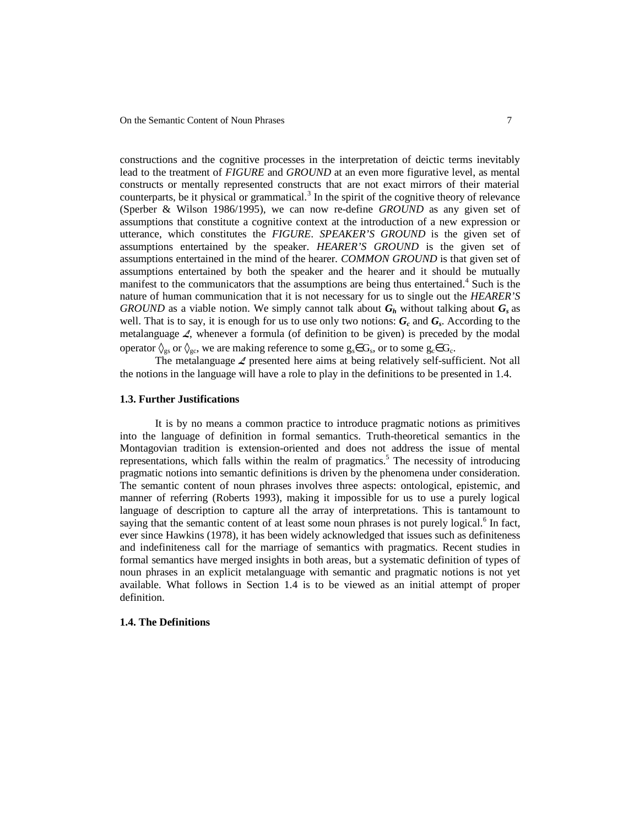constructions and the cognitive processes in the interpretation of deictic terms inevitably lead to the treatment of *FIGURE* and *GROUND* at an even more figurative level, as mental constructs or mentally represented constructs that are not exact mirrors of their material counterparts, be it physical or grammatical.<sup>3</sup> In the spirit of the cognitive theory of relevance (Sperber & Wilson 1986/1995), we can now re-define *GROUND* as any given set of assumptions that constitute a cognitive context at the introduction of a new expression or utterance, which constitutes the *FIGURE*. *SPEAKER'S GROUND* is the given set of assumptions entertained by the speaker. *HEARER'S GROUND* is the given set of assumptions entertained in the mind of the hearer. *COMMON GROUND* is that given set of assumptions entertained by both the speaker and the hearer and it should be mutually manifest to the communicators that the assumptions are being thus entertained.<sup>4</sup> Such is the nature of human communication that it is not necessary for us to single out the *HEARER'S GROUND* as a viable notion. We simply cannot talk about  $G_h$  without talking about  $G_s$  as well. That is to say, it is enough for us to use only two notions:  $G_c$  and  $G_s$ . According to the metalanguage  $\angle$ , whenever a formula (of definition to be given) is preceded by the modal operator  $\Diamond_{gs}$  or  $\Diamond_{gc}$ , we are making reference to some  $g_s \in G_s$ , or to some  $g_c \in G_c$ .

The metalanguage */* presented here aims at being relatively self-sufficient. Not all the notions in the language will have a role to play in the definitions to be presented in 1.4.

## **1.3. Further Justifications**

It is by no means a common practice to introduce pragmatic notions as primitives into the language of definition in formal semantics. Truth-theoretical semantics in the Montagovian tradition is extension-oriented and does not address the issue of mental representations, which falls within the realm of pragmatics.<sup>5</sup> The necessity of introducing pragmatic notions into semantic definitions is driven by the phenomena under consideration. The semantic content of noun phrases involves three aspects: ontological, epistemic, and manner of referring (Roberts 1993), making it impossible for us to use a purely logical language of description to capture all the array of interpretations. This is tantamount to saying that the semantic content of at least some noun phrases is not purely logical.<sup>6</sup> In fact, ever since Hawkins (1978), it has been widely acknowledged that issues such as definiteness and indefiniteness call for the marriage of semantics with pragmatics. Recent studies in formal semantics have merged insights in both areas, but a systematic definition of types of noun phrases in an explicit metalanguage with semantic and pragmatic notions is not yet available. What follows in Section 1.4 is to be viewed as an initial attempt of proper definition.

#### **1.4. The Definitions**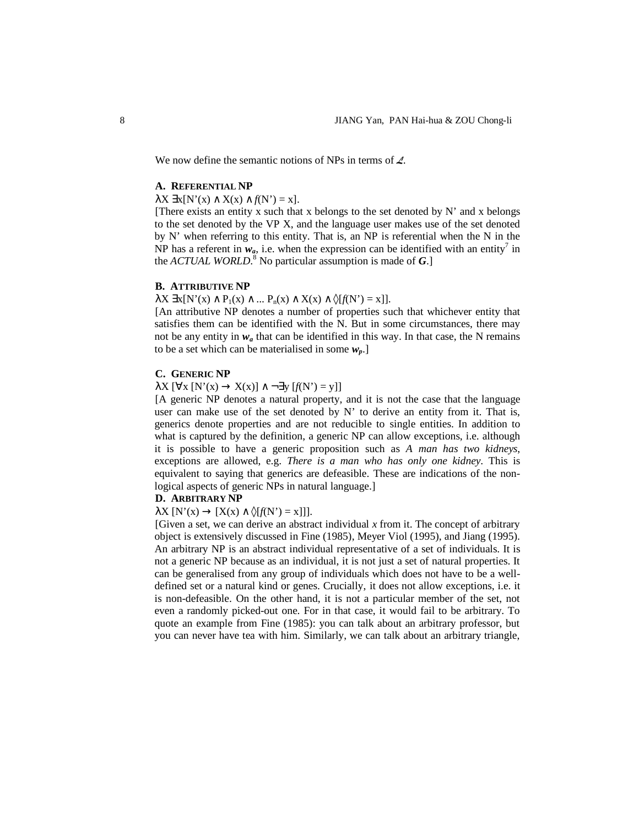We now define the semantic notions of NPs in terms of  $\angle$ .

# **A. REFERENTIAL NP**

### $\lambda X \exists x [N'(x) \wedge X(x) \wedge f(N') = x].$

[There exists an entity x such that x belongs to the set denoted by  $N'$  and x belongs to the set denoted by the VP X, and the language user makes use of the set denoted by N' when referring to this entity. That is, an NP is referential when the N in the NP has a referent in  $w_a$ , i.e. when the expression can be identified with an entity<sup>7</sup> in the *ACTUAL WORLD*.<sup>8</sup> No particular assumption is made of *G*.]

# **B. ATTRIBUTIVE NP**

 $\lambda$ X  $\exists$ x[N'(x)  $\wedge$  P<sub>1</sub>(x)  $\wedge$  ... P<sub>n</sub>(x)  $\wedge$  X(x)  $\wedge$   $\Diamond$ [*f*(N') = x]].

[An attributive NP denotes a number of properties such that whichever entity that satisfies them can be identified with the N. But in some circumstances, there may not be any entity in  $w_a$  that can be identified in this way. In that case, the N remains to be a set which can be materialised in some *wp*.]

## **C. GENERIC NP**

 $\lambda X$  [ $\forall x$  [N'(x)  $\rightarrow X(x)$ ]  $\land \neg \exists y$  [ $f(N') = y$ ]]

[A generic NP denotes a natural property, and it is not the case that the language user can make use of the set denoted by N' to derive an entity from it. That is, generics denote properties and are not reducible to single entities. In addition to what is captured by the definition, a generic NP can allow exceptions, i.e. although it is possible to have a generic proposition such as *A man has two kidneys*, exceptions are allowed, e.g. *There is a man who has only one kidney*. This is equivalent to saying that generics are defeasible. These are indications of the nonlogical aspects of generic NPs in natural language.]

# **D. ARBITRARY NP**

 $\lambda X \left[ N'(x) \rightarrow [X(x) \land \delta[f(N')] = x] \right]$ .

[Given a set, we can derive an abstract individual  $x$  from it. The concept of arbitrary object is extensively discussed in Fine (1985), Meyer Viol (1995), and Jiang (1995). An arbitrary NP is an abstract individual representative of a set of individuals. It is not a generic NP because as an individual, it is not just a set of natural properties. It can be generalised from any group of individuals which does not have to be a welldefined set or a natural kind or genes. Crucially, it does not allow exceptions, i.e. it is non-defeasible. On the other hand, it is not a particular member of the set, not even a randomly picked-out one. For in that case, it would fail to be arbitrary. To quote an example from Fine (1985): you can talk about an arbitrary professor, but you can never have tea with him. Similarly, we can talk about an arbitrary triangle,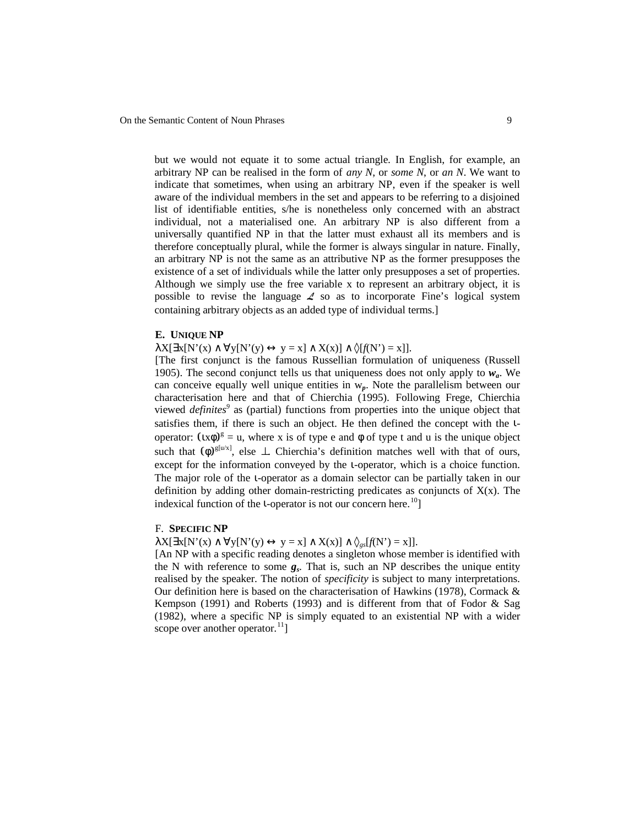but we would not equate it to some actual triangle. In English, for example, an arbitrary NP can be realised in the form of *any N*, or *some N*, or *an N*. We want to indicate that sometimes, when using an arbitrary NP, even if the speaker is well aware of the individual members in the set and appears to be referring to a disjoined list of identifiable entities, s/he is nonetheless only concerned with an abstract individual, not a materialised one. An arbitrary NP is also different from a universally quantified NP in that the latter must exhaust all its members and is therefore conceptually plural, while the former is always singular in nature. Finally, an arbitrary NP is not the same as an attributive NP as the former presupposes the existence of a set of individuals while the latter only presupposes a set of properties. Although we simply use the free variable x to represent an arbitrary object, it is possible to revise the language */* so as to incorporate Fine's logical system containing arbitrary objects as an added type of individual terms.]

#### **E. UNIQUE NP**

 $\lambda X[\exists x[N'(x) \land \forall y[N'(y) \leftrightarrow y = x] \land X(x)] \land \Diamond[f(N') = x]].$ 

[The first conjunct is the famous Russellian formulation of uniqueness (Russell 1905). The second conjunct tells us that uniqueness does not only apply to *wa*. We can conceive equally well unique entities in  $w_p$ . Note the parallelism between our characterisation here and that of Chierchia (1995). Following Frege, Chierchia viewed *definites<sup>9</sup>* as (partial) functions from properties into the unique object that satisfies them, if there is such an object. He then defined the concept with the ιoperator:  $(\alpha \phi)^g = u$ , where x is of type e and  $\phi$  of type t and u is the unique object such that  $(\phi)^{g[u/x]}$ , else  $\perp$ . Chierchia's definition matches well with that of ours, except for the information conveyed by the ι-operator, which is a choice function. The major role of the *u*-operator as a domain selector can be partially taken in our definition by adding other domain-restricting predicates as conjuncts of  $X(x)$ . The indexical function of the *i*-operator is not our concern here.<sup>10</sup>]

### F. **SPECIFIC NP**

 $\lambda X[\exists x[N'(x) \land \forall y[N'(y) \leftrightarrow y = x] \land X(x)] \land \varphi_{\varphi s}[f(N') = x]].$ 

[An NP with a specific reading denotes a singleton whose member is identified with the N with reference to some *g<sup>s</sup>* . That is, such an NP describes the unique entity realised by the speaker. The notion of *specificity* is subject to many interpretations. Our definition here is based on the characterisation of Hawkins (1978), Cormack & Kempson (1991) and Roberts (1993) and is different from that of Fodor & Sag (1982), where a specific NP is simply equated to an existential NP with a wider scope over another operator. $^{11}$ ]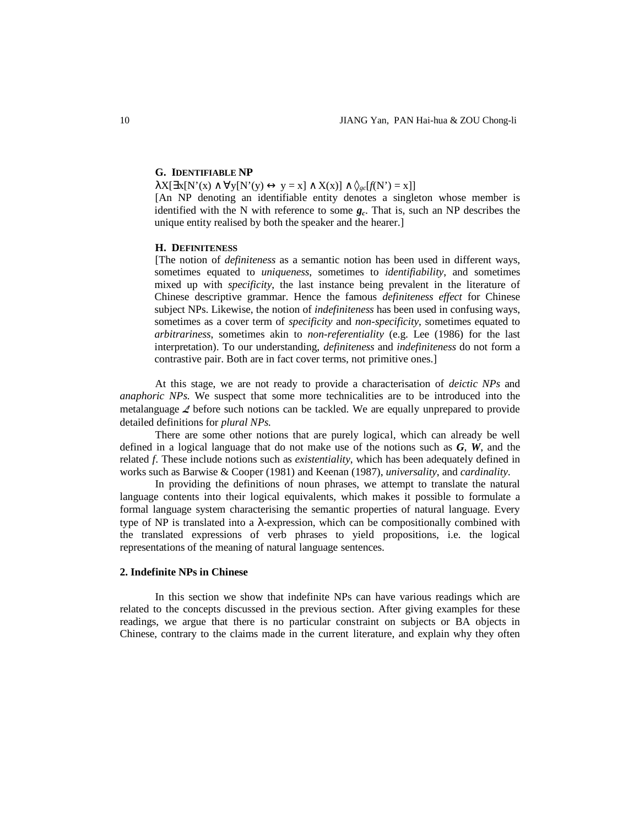# **G. IDENTIFIABLE NP**

 $\lambda X[\exists x[N'(x) \land \forall y[N'(y) \leftrightarrow y = x] \land X(x)] \land \Diamond_{gc}[f(N') = x]]$ 

[An NP denoting an identifiable entity denotes a singleton whose member is identified with the N with reference to some *g<sup>c</sup>* . That is, such an NP describes the unique entity realised by both the speaker and the hearer.]

# **H. DEFINITENESS**

[The notion of *definiteness* as a semantic notion has been used in different ways, sometimes equated to *uniqueness*, sometimes to *identifiability*, and sometimes mixed up with *specificity*, the last instance being prevalent in the literature of Chinese descriptive grammar. Hence the famous *definiteness effect* for Chinese subject NPs. Likewise, the notion of *indefiniteness* has been used in confusing ways, sometimes as a cover term of *specificity* and *non-specificity*, sometimes equated to *arbitrariness*, sometimes akin to *non-referentiality* (e.g. Lee (1986) for the last interpretation). To our understanding, *definiteness* and *indefiniteness* do not form a contrastive pair. Both are in fact cover terms, not primitive ones.]

At this stage, we are not ready to provide a characterisation of *deictic NPs* and *anaphoric NPs*. We suspect that some more technicalities are to be introduced into the metalanguage */* before such notions can be tackled. We are equally unprepared to provide detailed definitions for *plural NPs*.

There are some other notions that are purely logical, which can already be well defined in a logical language that do not make use of the notions such as *G*, *W*, and the related *f*. These include notions such as *existentiality*, which has been adequately defined in works such as Barwise & Cooper (1981) and Keenan (1987), *universality*, and *cardinality*.

In providing the definitions of noun phrases, we attempt to translate the natural language contents into their logical equivalents, which makes it possible to formulate a formal language system characterising the semantic properties of natural language. Every type of NP is translated into a  $\lambda$ -expression, which can be compositionally combined with the translated expressions of verb phrases to yield propositions, i.e. the logical representations of the meaning of natural language sentences.

# **2. Indefinite NPs in Chinese**

In this section we show that indefinite NPs can have various readings which are related to the concepts discussed in the previous section. After giving examples for these readings, we argue that there is no particular constraint on subjects or BA objects in Chinese, contrary to the claims made in the current literature, and explain why they often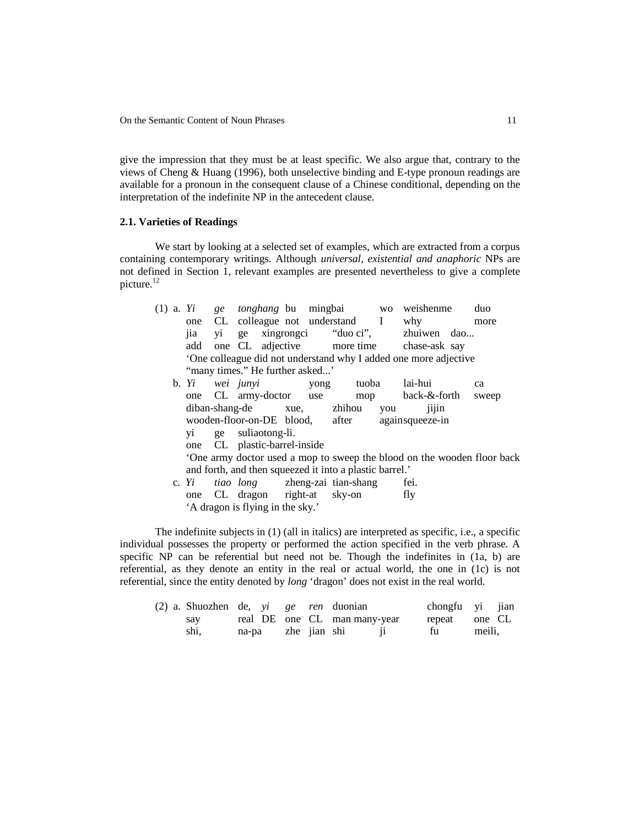give the impression that they must be at least specific. We also argue that, contrary to the views of Cheng & Huang (1996), both unselective binding and E-type pronoun readings are available for a pronoun in the consequent clause of a Chinese conditional, depending on the interpretation of the indefinite NP in the antecedent clause.

# **2.1. Varieties of Readings**

We start by looking at a selected set of examples, which are extracted from a corpus containing contemporary writings. Although *universal, existential and anaphoric* NPs are not defined in Section 1, relevant examples are presented nevertheless to give a complete picture.<sup>12</sup>

|  | $(1)$ a. Yi                  |  | ge <i>tonghang</i> bu mingbai                           |                                 |      |       |     | wo weishenme                                                           | duo   |  |
|--|------------------------------|--|---------------------------------------------------------|---------------------------------|------|-------|-----|------------------------------------------------------------------------|-------|--|
|  |                              |  | one CL colleague not understand I why                   |                                 |      |       |     |                                                                        | more  |  |
|  | jia                          |  |                                                         |                                 |      |       |     | yi ge xingrongci "duo ci", zhuiwen dao                                 |       |  |
|  |                              |  |                                                         |                                 |      |       |     | add one CL adjective more time chase-ask say                           |       |  |
|  |                              |  |                                                         |                                 |      |       |     | 'One colleague did not understand why I added one more adjective       |       |  |
|  |                              |  |                                                         | "many times." He further asked" |      |       |     |                                                                        |       |  |
|  |                              |  | b. Yi wei junyi                                         |                                 | yong | tuoba |     | lai-hui                                                                | ca    |  |
|  |                              |  | one CL army-doctor use                                  |                                 |      |       |     | mop back-&-forth                                                       | sweep |  |
|  |                              |  | diban-shang-de xue, zhihou                              |                                 |      |       | you | 1111n                                                                  |       |  |
|  |                              |  | wooden-floor-on-DE blood, after                         |                                 |      |       |     | againsqueeze-in                                                        |       |  |
|  |                              |  | yi ge suliaotong-li.                                    |                                 |      |       |     |                                                                        |       |  |
|  | one CL plastic-barrel-inside |  |                                                         |                                 |      |       |     |                                                                        |       |  |
|  |                              |  |                                                         |                                 |      |       |     | One army doctor used a mop to sweep the blood on the wooden floor back |       |  |
|  |                              |  | and forth, and then squeezed it into a plastic barrel.' |                                 |      |       |     |                                                                        |       |  |
|  | c. $Y_i$                     |  | <i>tiao</i> long zheng-zai tian-shang                   |                                 |      |       |     | fei.                                                                   |       |  |
|  | one                          |  | CL dragon right-at sky-on                               |                                 |      |       |     | fly                                                                    |       |  |
|  |                              |  | 'A dragon is flying in the sky.'                        |                                 |      |       |     |                                                                        |       |  |

The indefinite subjects in (1) (all in italics) are interpreted as specific, i.e., a specific individual possesses the property or performed the action specified in the verb phrase. A specific NP can be referential but need not be. Though the indefinites in  $(1a, b)$  are referential, as they denote an entity in the real or actual world, the one in (1c) is not referential, since the entity denoted by *long* 'dragon' does not exist in the real world.

|  | $(2)$ a. Shuozhen de, vi ge ren duonian |  |                    |                              | chongfu yi jian |        |  |
|--|-----------------------------------------|--|--------------------|------------------------------|-----------------|--------|--|
|  | sav                                     |  |                    | real DE one CL man many-year | repeat one CL   |        |  |
|  | shi.                                    |  | na-pa zhe jian shi |                              | fu              | meili. |  |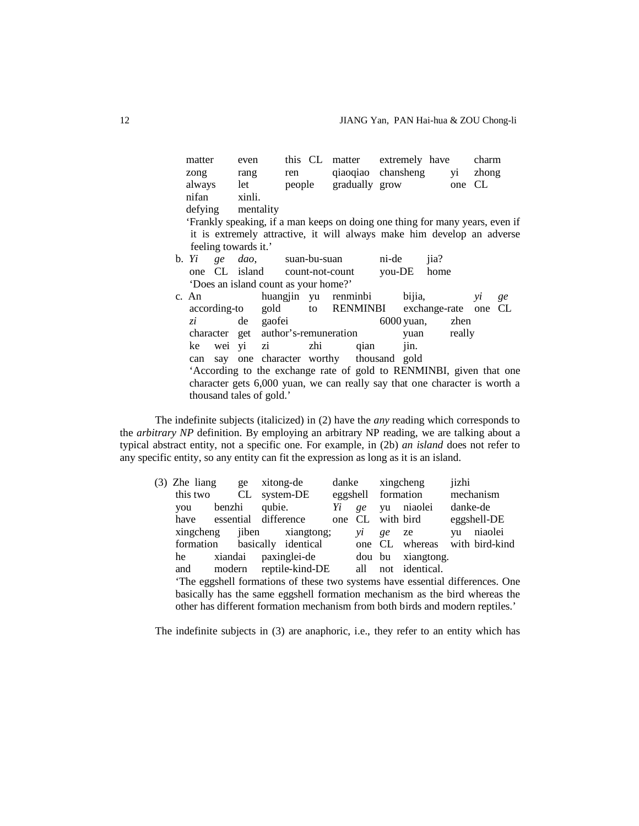| matter            |       |                      | even                                                                         |     | this CL matter extremely have |  |                       |      |        | charm         |    |
|-------------------|-------|----------------------|------------------------------------------------------------------------------|-----|-------------------------------|--|-----------------------|------|--------|---------------|----|
| zong rang         |       |                      |                                                                              | ren |                               |  | qiaoqiao chansheng yi |      |        | zhong         |    |
| always let        |       |                      |                                                                              |     | people gradually grow         |  |                       |      | one CL |               |    |
| nifan             |       | xinli.               |                                                                              |     |                               |  |                       |      |        |               |    |
| defying mentality |       |                      |                                                                              |     |                               |  |                       |      |        |               |    |
|                   |       |                      | 'Frankly speaking, if a man keeps on doing one thing for many years, even if |     |                               |  |                       |      |        |               |    |
|                   |       |                      | it is extremely attractive, it will always make him develop an adverse       |     |                               |  |                       |      |        |               |    |
|                   |       | feeling towards it.' |                                                                              |     |                               |  |                       |      |        |               |    |
| b. <i>Yi</i>      |       |                      | <i>ge dao</i> , suan-bu-suan ni-de                                           |     |                               |  |                       | iia? |        |               |    |
|                   |       |                      | one CL island count-not-count                                                |     |                               |  | you-DE home           |      |        |               |    |
|                   |       |                      | 'Does an island count as your home?'                                         |     |                               |  |                       |      |        |               |    |
|                   |       |                      | c. An buangjin yu renminbi bijia,                                            |     |                               |  |                       |      |        | $\mathcal{V}$ | ge |
|                   |       |                      | according-to gold to RENMINBI exchange-rate one CL                           |     |                               |  |                       |      |        |               |    |
|                   | $z_i$ |                      | de gao fei                                                                   |     |                               |  | 6000 yuan, zhen       |      |        |               |    |
|                   |       |                      | character get author's-remuneration                                          |     |                               |  | yuan really           |      |        |               |    |
|                   |       |                      | ke wei yi zi zhi qian                                                        |     |                               |  | jin.                  |      |        |               |    |
|                   |       |                      | can say one character worthy thousand gold                                   |     |                               |  |                       |      |        |               |    |
|                   |       |                      | 'According to the exchange rate of gold to RENMINBI, given that one          |     |                               |  |                       |      |        |               |    |
|                   |       |                      | character gets 6,000 yuan, we can really say that one character is worth a   |     |                               |  |                       |      |        |               |    |
|                   |       |                      | thousand tales of gold.'                                                     |     |                               |  |                       |      |        |               |    |

The indefinite subjects (italicized) in (2) have the *any* reading which corresponds to the *arbitrary NP* definition. By employing an arbitrary NP reading, we are talking about a typical abstract entity, not a specific one. For example, in (2b) *an island* does not refer to any specific entity, so any entity can fit the expression as long as it is an island.

| $(3)$ Zhe liang ge    |        | xitong-de                                                                     | danke |                    | xingcheng                     | jizhi    |             |
|-----------------------|--------|-------------------------------------------------------------------------------|-------|--------------------|-------------------------------|----------|-------------|
| this two CL system-DE |        |                                                                               |       | eggshell formation |                               |          | mechanism   |
| you                   | benzhi | qubie. $Y_i$                                                                  | ge    |                    | yu niaolei                    | danke-de |             |
|                       |        | have essential difference                                                     |       |                    | one CL with bird              |          | eggshell-DE |
|                       |        | xingcheng jiben xiangtong;                                                    | νi    | ge                 | ze                            |          | yu niaolei  |
|                       |        | formation basically identical                                                 |       |                    | one CL whereas with bird-kind |          |             |
| he                    |        | xiandai paxinglei-de dou bu xiangtong.                                        |       |                    |                               |          |             |
| and                   |        | modern reptile-kind-DE all not identical.                                     |       |                    |                               |          |             |
|                       |        | 'The eggshell formations of these two systems have essential differences. One |       |                    |                               |          |             |
|                       |        | basically has the same eggshell formation mechanism as the bird whereas the   |       |                    |                               |          |             |
|                       |        | other has different formation mechanism from both birds and modern reptiles.' |       |                    |                               |          |             |

The indefinite subjects in (3) are anaphoric, i.e., they refer to an entity which has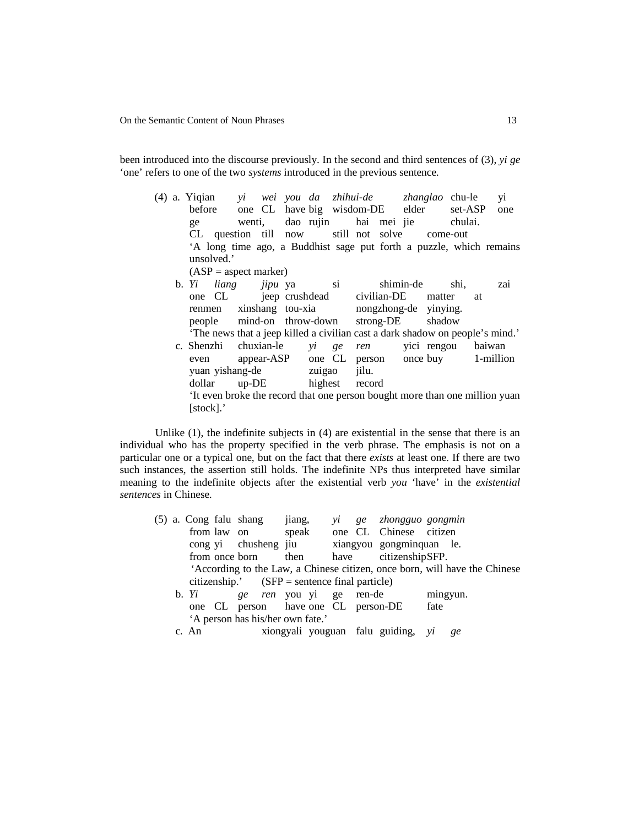been introduced into the discourse previously. In the second and third sentences of (3), *yi ge* 'one' refers to one of the two *systems* introduced in the previous sentence.

(4) a. Yiqian *yi wei you da zhihui-de zhanglao* chu-le yi before one CL have big wisdom-DE elder set-ASP one ge wenti, dao rujin hai mei jie chulai. CL question till now still not solve come-out 'A long time ago, a Buddhist sage put forth a puzzle, which remains unsolved.'  $(ASP = aspect marker)$ b. *Yi liang jipu* ya si shimin-de shi, zai one CL jeep crush dead civilian-DE matter at renmen xinshang tou-xia nongzhong-de yinying. people mind-on throw-down strong-DE shadow 'The news that a jeep killed a civilian cast a dark shadow on people's mind.' c. Shenzhi chuxian-le *yi ge ren* yici rengou baiwan even appear-ASP one CL person once buy 1-million yuan yishang-de zuigao jilu. dollar up-DE highest record

'It even broke the record that one person bought more than one million yuan [stock].'

Unlike (1), the indefinite subjects in (4) are existential in the sense that there is an individual who has the property specified in the verb phrase. The emphasis is not on a particular one or a typical one, but on the fact that there *exists* at least one. If there are two such instances, the assertion still holds. The indefinite NPs thus interpreted have similar meaning to the indefinite objects after the existential verb *you* 'have' in the *existential sentences* in Chinese.

(5) a. Cong falu shang jiang, *yi ge zhongguo gongmin* from law on speak one CL Chinese citizen cong yi chusheng jiu xiangyou gongminquan le. from once born then have citizenship SFP. 'According to the Law, a Chinese citizen, once born, will have the Chinese citizenship.' (SFP = sentence final particle) b. *Yi ge ren* you yi ge ren-de mingyun. one CL person have one CL person-DE fate 'A person has his/her own fate.' c. An xiongyali youguan falu guiding, *yi ge*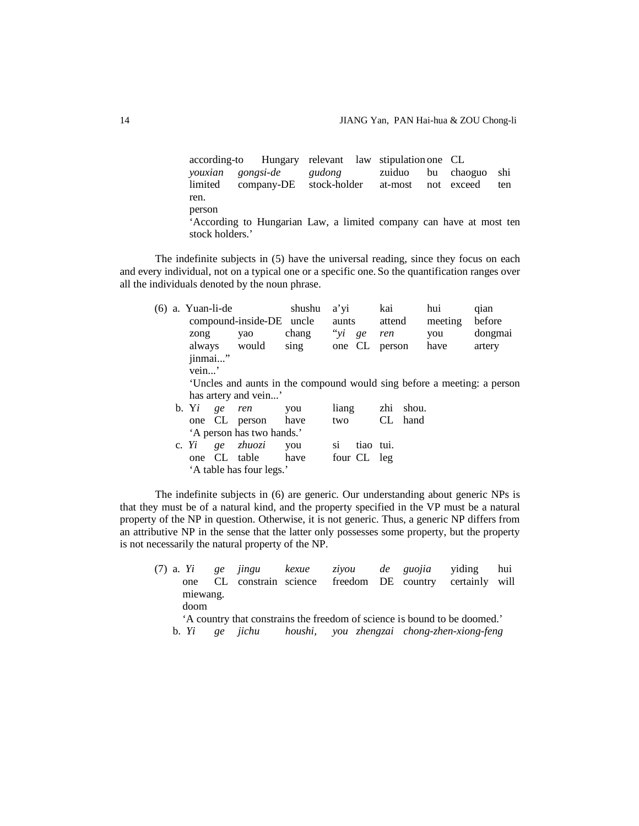according-to Hungary relevant law stipulation one CL *youxian gongsi-de gudong* zuiduo bu chaoguo shi limited company-DE stock-holder at-most not exceed ten ren. person

'According to Hungarian Law, a limited company can have at most ten stock holders.'

The indefinite subjects in (5) have the universal reading, since they focus on each and every individual, not on a typical one or a specific one. So the quantification ranges over all the individuals denoted by the noun phrase.

|  | (6) a. Yuan-li-de |                      |                           | shushu | a'yi   |             | kai    |           | hui     | qian                                                                   |  |  |
|--|-------------------|----------------------|---------------------------|--------|--------|-------------|--------|-----------|---------|------------------------------------------------------------------------|--|--|
|  |                   |                      | compound-inside-DE uncle  |        | aunts  |             | attend |           | meeting | before                                                                 |  |  |
|  | zong              |                      | yao                       | chang  | " $yi$ | ge          | ren    |           | you     | dongmai                                                                |  |  |
|  |                   |                      | always would              | sing   | one CL |             | person |           | have    | artery                                                                 |  |  |
|  | jinmai"           |                      |                           |        |        |             |        |           |         |                                                                        |  |  |
|  | vein'             |                      |                           |        |        |             |        |           |         |                                                                        |  |  |
|  |                   |                      |                           |        |        |             |        |           |         | Uncles and aunts in the compound would sing before a meeting: a person |  |  |
|  |                   | has artery and vein' |                           |        |        |             |        |           |         |                                                                        |  |  |
|  | b. Yi             | ge                   | ren                       | you    | liang  |             |        | zhi shou. |         |                                                                        |  |  |
|  |                   |                      | one CL person             | have   | two    |             | CL.    | hand      |         |                                                                        |  |  |
|  |                   |                      | 'A person has two hands.' |        |        |             |        |           |         |                                                                        |  |  |
|  | c. Yi             | ge                   | zhuozi                    | you    | S1     | tiao tui.   |        |           |         |                                                                        |  |  |
|  |                   |                      | one CL table              | have   |        | four CL leg |        |           |         |                                                                        |  |  |
|  |                   |                      | 'A table has four legs.'  |        |        |             |        |           |         |                                                                        |  |  |

The indefinite subjects in (6) are generic. Our understanding about generic NPs is that they must be of a natural kind, and the property specified in the VP must be a natural property of the NP in question. Otherwise, it is not generic. Thus, a generic NP differs from an attributive NP in the sense that the latter only possesses some property, but the property is not necessarily the natural property of the NP.

(7) a. *Yi ge jingu kexue ziyou de guojia* yiding hui one CL constrain science freedom DE country certainly will miewang. doom

'A country that constrains the freedom of science is bound to be doomed.' b. *Yi ge jichu houshi, you zhengzai chong-zhen-xiong-feng*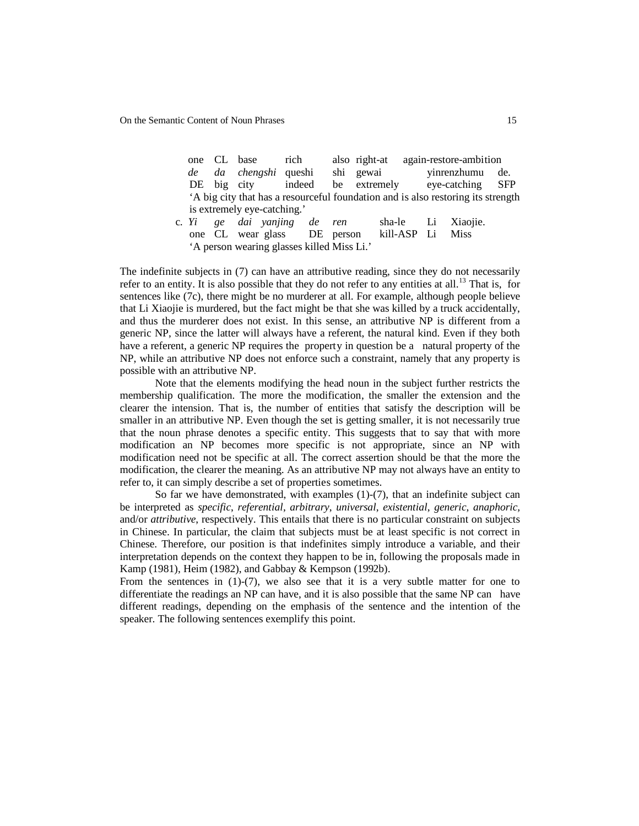|  | one CL base                 | rich                            |        | also right-at                                                                   |             | again-restore-ambition |  |
|--|-----------------------------|---------------------------------|--------|---------------------------------------------------------------------------------|-------------|------------------------|--|
|  |                             | de da chengshi queshi shi gewai |        |                                                                                 |             | vinrenzhumu de.        |  |
|  | DE big city indeed          |                                 |        | be extremely eye-catching SFP                                                   |             |                        |  |
|  |                             |                                 |        | A big city that has a resourceful foundation and is also restoring its strength |             |                        |  |
|  | is extremely eye-catching.' |                                 |        |                                                                                 |             |                        |  |
|  |                             | c. Yi ge dai yanjing de ren     |        |                                                                                 |             | sha-le Li Xiaojie.     |  |
|  |                             | one CL wear glass DE            | person |                                                                                 | kill-ASP Li | <b>Miss</b>            |  |

'A person wearing glasses killed Miss Li.'

The indefinite subjects in (7) can have an attributive reading, since they do not necessarily refer to an entity. It is also possible that they do not refer to any entities at all.<sup>13</sup> That is, for sentences like (7c), there might be no murderer at all. For example, although people believe that Li Xiaojie is murdered, but the fact might be that she was killed by a truck accidentally, and thus the murderer does not exist. In this sense, an attributive NP is different from a generic NP, since the latter will always have a referent, the natural kind. Even if they both have a referent, a generic NP requires the property in question be a natural property of the NP, while an attributive NP does not enforce such a constraint, namely that any property is possible with an attributive NP.

Note that the elements modifying the head noun in the subject further restricts the membership qualification. The more the modification, the smaller the extension and the clearer the intension. That is, the number of entities that satisfy the description will be smaller in an attributive NP. Even though the set is getting smaller, it is not necessarily true that the noun phrase denotes a specific entity. This suggests that to say that with more modification an NP becomes more specific is not appropriate, since an NP with modification need not be specific at all. The correct assertion should be that the more the modification, the clearer the meaning. As an attributive NP may not always have an entity to refer to, it can simply describe a set of properties sometimes.

So far we have demonstrated, with examples  $(1)-(7)$ , that an indefinite subject can be interpreted as *specific*, *referential*, *arbitrary*, *universal*, *existential*, *generic*, *anaphoric,* and/or *attributive*, respectively. This entails that there is no particular constraint on subjects in Chinese. In particular, the claim that subjects must be at least specific is not correct in Chinese. Therefore, our position is that indefinites simply introduce a variable, and their interpretation depends on the context they happen to be in, following the proposals made in Kamp (1981), Heim (1982), and Gabbay & Kempson (1992b).

From the sentences in  $(1)-(7)$ , we also see that it is a very subtle matter for one to differentiate the readings an NP can have, and it is also possible that the same NP can have different readings, depending on the emphasis of the sentence and the intention of the speaker. The following sentences exemplify this point.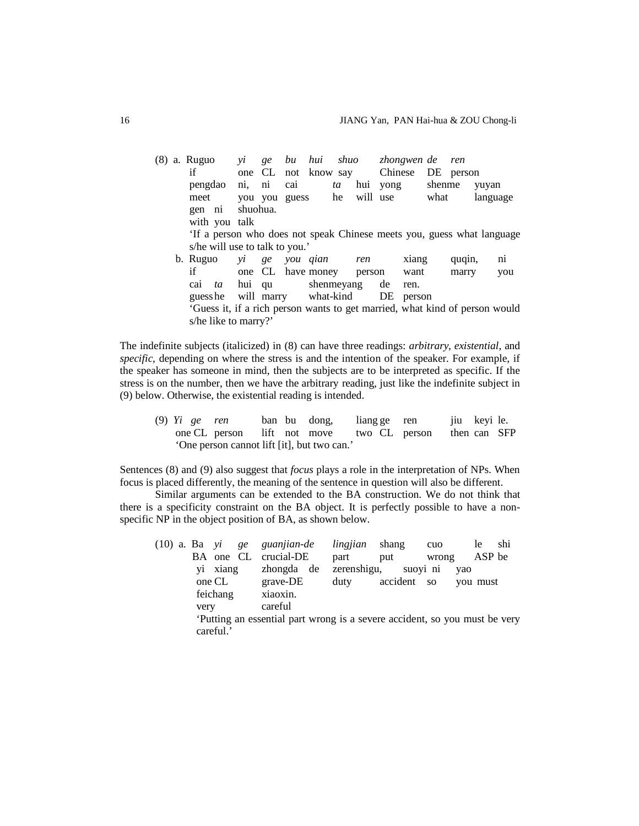|  | (8) a. Ruguo                                                                | $\mathbf{v}$ <i>i</i> | ge      |          |                          |    |     | bu hui shuo zhongwen-de |        |        | ren       |          |     |
|--|-----------------------------------------------------------------------------|-----------------------|---------|----------|--------------------------|----|-----|-------------------------|--------|--------|-----------|----------|-----|
|  | if                                                                          |                       |         |          | one CL not know say      |    |     | Chinese                 |        |        | DE person |          |     |
|  | pengdao                                                                     | ni, ni                |         | cai      |                          | ta | hui | yong                    |        | shenme |           | yuyan    |     |
|  | meet                                                                        |                       |         |          | you you guess he         |    |     | will use                |        | what   |           | language |     |
|  | gen ni                                                                      | shuohua.              |         |          |                          |    |     |                         |        |        |           |          |     |
|  | with you talk                                                               |                       |         |          |                          |    |     |                         |        |        |           |          |     |
|  | If a person who does not speak Chinese meets you, guess what language       |                       |         |          |                          |    |     |                         |        |        |           |          |     |
|  | s/he will use to talk to you.'                                              |                       |         |          |                          |    |     |                         |        |        |           |          |     |
|  | b. Ruguo                                                                    |                       | $yi$ ge | you qian |                          |    | ren |                         | xiang  |        | quqin,    |          | ni  |
|  | if                                                                          |                       |         |          | one CL have money person |    |     |                         | want   |        | marry     |          | you |
|  | cai<br>ta ta                                                                |                       | hui qu  |          | shenmeyang               |    |     | de                      | ren.   |        |           |          |     |
|  | guess he                                                                    |                       |         |          | will marry what-kind     |    |     | DE                      | person |        |           |          |     |
|  | 'Guess it, if a rich person wants to get married, what kind of person would |                       |         |          |                          |    |     |                         |        |        |           |          |     |
|  | s/he like to marry?'                                                        |                       |         |          |                          |    |     |                         |        |        |           |          |     |

The indefinite subjects (italicized) in (8) can have three readings: *arbitrary*, *existential*, and *specific*, depending on where the stress is and the intention of the speaker. For example, if the speaker has someone in mind, then the subjects are to be interpreted as specific. If the stress is on the number, then we have the arbitrary reading, just like the indefinite subject in (9) below. Otherwise, the existential reading is intended.

(9) *Yi ge ren* ban bu dong, liang ge ren jiu keyi le. one CL person lift not move two CL person then can SFP 'One person cannot lift [it], but two can.'

Sentences (8) and (9) also suggest that *focus* plays a role in the interpretation of NPs. When focus is placed differently, the meaning of the sentence in question will also be different.

Similar arguments can be extended to the BA construction. We do not think that there is a specificity constraint on the BA object. It is perfectly possible to have a nonspecific NP in the object position of BA, as shown below.

|  |      |           | $(10)$ a. Ba yi ge guanjian-de | lingjian    | shang                                                                     | cuo   | le.      | shi |
|--|------|-----------|--------------------------------|-------------|---------------------------------------------------------------------------|-------|----------|-----|
|  |      |           | BA one CL crucial-DE           | part        | put                                                                       | wrong | ASP be   |     |
|  | Vİ   | xiang     | zhongda de                     | zerenshigu, | suoyi ni                                                                  |       | yao      |     |
|  |      | one CL    | grave-DE                       | duty        | accident so                                                               |       | you must |     |
|  |      | feichang  | xiaoxin.                       |             |                                                                           |       |          |     |
|  | very |           | careful                        |             |                                                                           |       |          |     |
|  |      |           |                                |             | Putting an essential part wrong is a severe accident, so you must be very |       |          |     |
|  |      | careful.' |                                |             |                                                                           |       |          |     |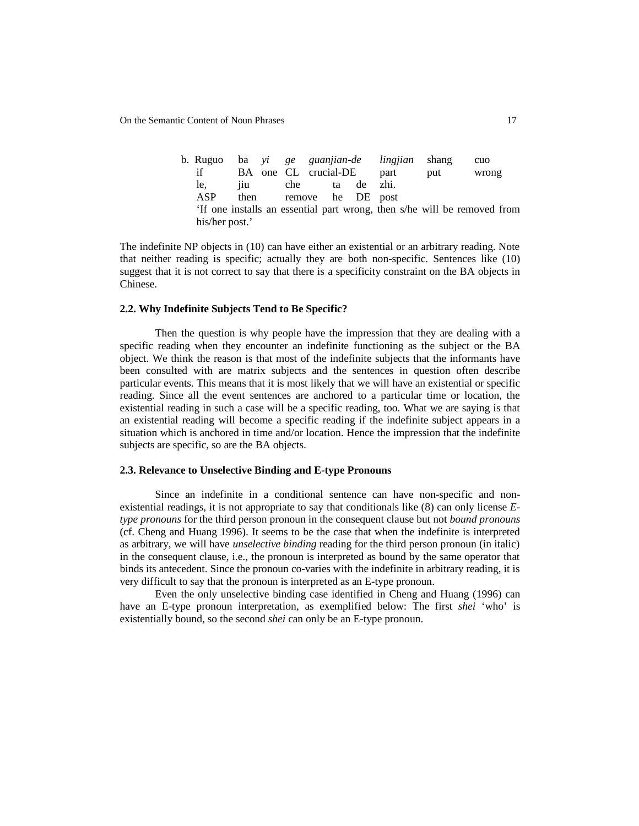On the Semantic Content of Noun Phrases 17

b. Ruguo ba *yi ge guanjian-de lingjian* shang cuo if BA one CL crucial-DE part put wrong le, jiu che ta de zhi. ASP then remove he DE post 'If one installs an essential part wrong, then s/he will be removed from his/her post.'

The indefinite NP objects in (10) can have either an existential or an arbitrary reading. Note that neither reading is specific; actually they are both non-specific. Sentences like (10) suggest that it is not correct to say that there is a specificity constraint on the BA objects in Chinese.

# **2.2. Why Indefinite Subjects Tend to Be Specific?**

Then the question is why people have the impression that they are dealing with a specific reading when they encounter an indefinite functioning as the subject or the BA object. We think the reason is that most of the indefinite subjects that the informants have been consulted with are matrix subjects and the sentences in question often describe particular events. This means that it is most likely that we will have an existential or specific reading. Since all the event sentences are anchored to a particular time or location, the existential reading in such a case will be a specific reading, too. What we are saying is that an existential reading will become a specific reading if the indefinite subject appears in a situation which is anchored in time and/or location. Hence the impression that the indefinite subjects are specific, so are the BA objects.

# **2.3. Relevance to Unselective Binding and E-type Pronouns**

Since an indefinite in a conditional sentence can have non-specific and nonexistential readings, it is not appropriate to say that conditionals like (8) can only license *Etype pronouns* for the third person pronoun in the consequent clause but not *bound pronouns* (cf. Cheng and Huang 1996). It seems to be the case that when the indefinite is interpreted as arbitrary, we will have *unselective binding* reading for the third person pronoun (in italic) in the consequent clause, i.e., the pronoun is interpreted as bound by the same operator that binds its antecedent. Since the pronoun co-varies with the indefinite in arbitrary reading, it is very difficult to say that the pronoun is interpreted as an E-type pronoun.

Even the only unselective binding case identified in Cheng and Huang (1996) can have an E-type pronoun interpretation, as exemplified below: The first *shei* 'who' is existentially bound, so the second *shei* can only be an E-type pronoun.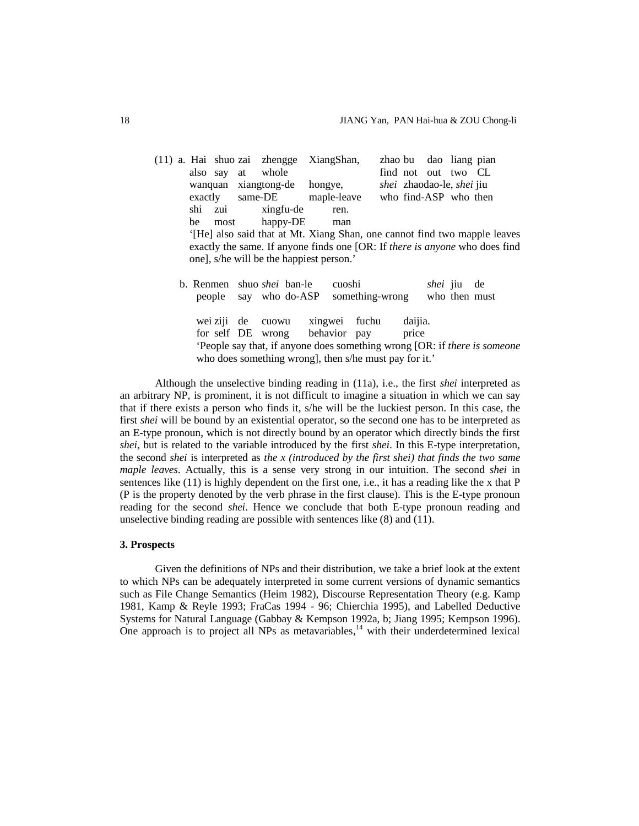|  |        |          | (11) a. Hai shuo zai zhengge      | XiangShan,                                                                  |                 |         |                 | zhao bu dao liang pian    |    |
|--|--------|----------|-----------------------------------|-----------------------------------------------------------------------------|-----------------|---------|-----------------|---------------------------|----|
|  |        |          | also say at whole                 |                                                                             |                 |         |                 | find not out two CL       |    |
|  |        |          |                                   | wanquan xiangtong-de hongye,                                                |                 |         |                 | shei zhaodao-le, shei jiu |    |
|  |        |          |                                   | exactly same-DE maple-leave                                                 |                 |         |                 | who find-ASP who then     |    |
|  |        |          | shi zui xingfu-de                 | ren.                                                                        |                 |         |                 |                           |    |
|  | be     | most     | happy-DE                          | man                                                                         |                 |         |                 |                           |    |
|  |        |          |                                   | '[He] also said that at Mt. Xiang Shan, one cannot find two mapple leaves   |                 |         |                 |                           |    |
|  |        |          |                                   | exactly the same. If anyone finds one [OR: If there is anyone who does find |                 |         |                 |                           |    |
|  |        |          |                                   | one], s/he will be the happiest person.'                                    |                 |         |                 |                           |    |
|  |        |          |                                   |                                                                             |                 |         |                 |                           |    |
|  |        |          | b. Renmen shuo <i>shei</i> ban-le | cuoshi                                                                      |                 |         | <i>shei</i> jiu |                           | de |
|  | people |          | say who do-ASP                    |                                                                             | something-wrong |         |                 | who then must             |    |
|  |        |          |                                   |                                                                             |                 |         |                 |                           |    |
|  |        | wei ziji | de cuowu                          | xingwei fuchu                                                               |                 | daijia. |                 |                           |    |
|  |        |          |                                   |                                                                             |                 |         |                 |                           |    |
|  |        |          | for self DE wrong                 | behavior pay                                                                |                 | price   |                 |                           |    |

Although the unselective binding reading in (11a), i.e., the first *shei* interpreted as an arbitrary NP, is prominent, it is not difficult to imagine a situation in which we can say that if there exists a person who finds it, s/he will be the luckiest person. In this case, the first *shei* will be bound by an existential operator, so the second one has to be interpreted as an E-type pronoun, which is not directly bound by an operator which directly binds the first *shei*, but is related to the variable introduced by the first *shei*. In this E-type interpretation, the second *shei* is interpreted as *the x (introduced by the first shei) that finds the two same maple leaves*. Actually, this is a sense very strong in our intuition. The second *shei* in sentences like (11) is highly dependent on the first one, i.e., it has a reading like the x that P (P is the property denoted by the verb phrase in the first clause). This is the E-type pronoun reading for the second *shei*. Hence we conclude that both E-type pronoun reading and unselective binding reading are possible with sentences like (8) and (11).

who does something wrong], then s/he must pay for it.'

### **3. Prospects**

Given the definitions of NPs and their distribution, we take a brief look at the extent to which NPs can be adequately interpreted in some current versions of dynamic semantics such as File Change Semantics (Heim 1982), Discourse Representation Theory (e.g. Kamp 1981, Kamp & Reyle 1993; FraCas 1994 - 96; Chierchia 1995), and Labelled Deductive Systems for Natural Language (Gabbay & Kempson 1992a, b; Jiang 1995; Kempson 1996). One approach is to project all NPs as metavariables,<sup>14</sup> with their underdetermined lexical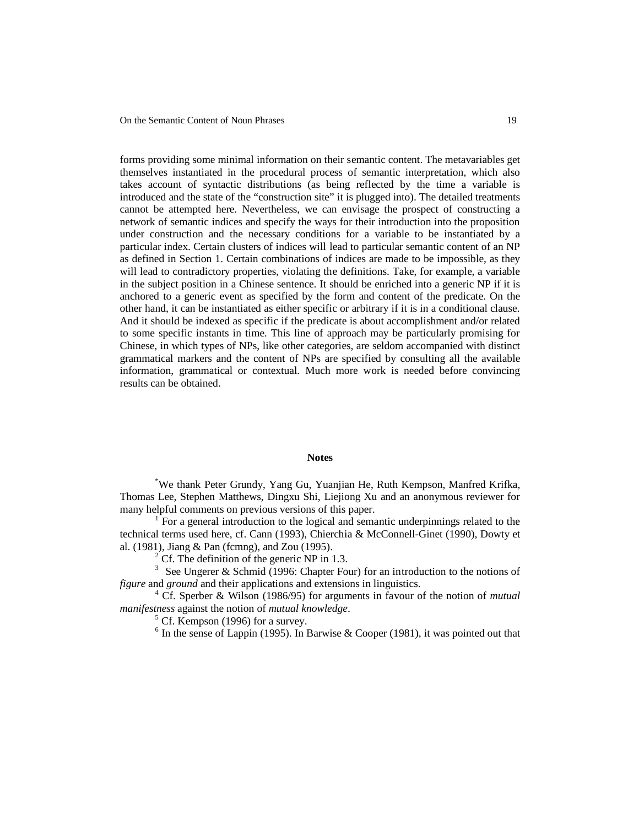forms providing some minimal information on their semantic content. The metavariables get themselves instantiated in the procedural process of semantic interpretation, which also takes account of syntactic distributions (as being reflected by the time a variable is introduced and the state of the "construction site" it is plugged into). The detailed treatments cannot be attempted here. Nevertheless, we can envisage the prospect of constructing a network of semantic indices and specify the ways for their introduction into the proposition under construction and the necessary conditions for a variable to be instantiated by a particular index. Certain clusters of indices will lead to particular semantic content of an NP as defined in Section 1. Certain combinations of indices are made to be impossible, as they will lead to contradictory properties, violating the definitions. Take, for example, a variable in the subject position in a Chinese sentence. It should be enriched into a generic NP if it is anchored to a generic event as specified by the form and content of the predicate. On the other hand, it can be instantiated as either specific or arbitrary if it is in a conditional clause. And it should be indexed as specific if the predicate is about accomplishment and/or related to some specific instants in time. This line of approach may be particularly promising for Chinese, in which types of NPs, like other categories, are seldom accompanied with distinct grammatical markers and the content of NPs are specified by consulting all the available information, grammatical or contextual. Much more work is needed before convincing results can be obtained.

# **Notes**

\*We thank Peter Grundy, Yang Gu, Yuanjian He, Ruth Kempson, Manfred Krifka, Thomas Lee, Stephen Matthews, Dingxu Shi, Liejiong Xu and an anonymous reviewer for many helpful comments on previous versions of this paper.

1 For a general introduction to the logical and semantic underpinnings related to the technical terms used here, cf. Cann (1993), Chierchia & McConnell-Ginet (1990), Dowty et al. (1981), Jiang & Pan (fcmng), and Zou (1995).

 $<sup>2</sup>$  Cf. The definition of the generic NP in 1.3.</sup>

<sup>3</sup> See Ungerer & Schmid (1996: Chapter Four) for an introduction to the notions of *figure* and *ground* and their applications and extensions in linguistics.

4 Cf. Sperber & Wilson (1986/95) for arguments in favour of the notion of *mutual manifestness* against the notion of *mutual knowledge*.

<sup>5</sup> Cf. Kempson (1996) for a survey.

 $6$  In the sense of Lappin (1995). In Barwise & Cooper (1981), it was pointed out that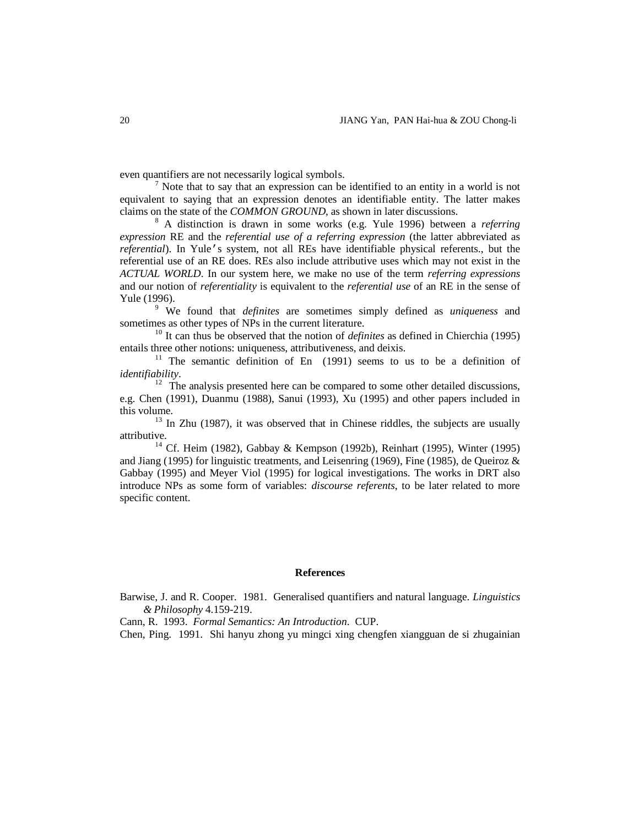even quantifiers are not necessarily logical symbols.

 $<sup>7</sup>$  Note that to say that an expression can be identified to an entity in a world is not</sup> equivalent to saying that an expression denotes an identifiable entity. The latter makes claims on the state of the *COMMON GROUND*, as shown in later discussions.

8 A distinction is drawn in some works (e.g. Yule 1996) between a *referring expression* RE and the *referential use of a referring expression* (the latter abbreviated as *referential*). In Yule's system, not all REs have identifiable physical referents., but the referential use of an RE does. REs also include attributive uses which may not exist in the *ACTUAL WORLD*. In our system here, we make no use of the term *referring expressions* and our notion of *referentiality* is equivalent to the *referential use* of an RE in the sense of Yule (1996).

9 We found that *definites* are sometimes simply defined as *uniqueness* and sometimes as other types of NPs in the current literature.

<sup>10</sup> It can thus be observed that the notion of *definites* as defined in Chierchia (1995) entails three other notions: uniqueness, attributiveness, and deixis.

<sup>11</sup> The semantic definition of En  $(1991)$  seems to us to be a definition of *identifiability*.

 $12$  The analysis presented here can be compared to some other detailed discussions, e.g. Chen (1991), Duanmu (1988), Sanui (1993), Xu (1995) and other papers included in this volume.

 $13$  In Zhu (1987), it was observed that in Chinese riddles, the subjects are usually attributive.

<sup>14</sup> Cf. Heim (1982), Gabbay & Kempson (1992b), Reinhart (1995), Winter (1995) and Jiang (1995) for linguistic treatments, and Leisenring (1969), Fine (1985), de Queiroz & Gabbay (1995) and Meyer Viol (1995) for logical investigations. The works in DRT also introduce NPs as some form of variables: *discourse referents*, to be later related to more specific content.

# **References**

Barwise, J. and R. Cooper. 1981. Generalised quantifiers and natural language. *Linguistics & Philosophy* 4.159-219.

Cann, R. 1993. *Formal Semantics: An Introduction*. CUP.

Chen, Ping. 1991. Shi hanyu zhong yu mingci xing chengfen xiangguan de si zhugainian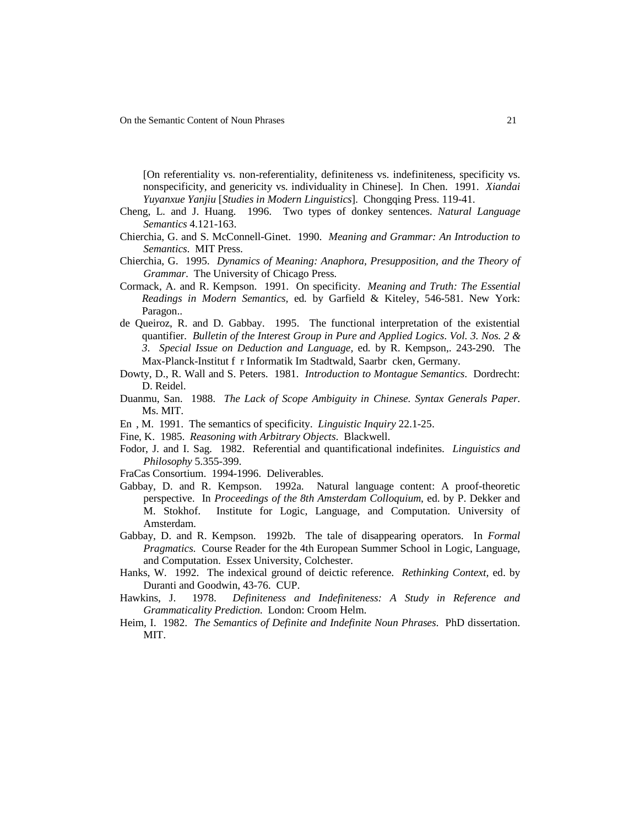[On referentiality vs. non-referentiality, definiteness vs. indefiniteness, specificity vs. nonspecificity, and genericity vs. individuality in Chinese]. In Chen. 1991. *Xiandai Yuyanxue Yanjiu* [*Studies in Modern Linguistics*]. Chongqing Press. 119-41.

- Cheng, L. and J. Huang. 1996. Two types of donkey sentences. *Natural Language Semantics* 4.121-163.
- Chierchia, G. and S. McConnell-Ginet. 1990. *Meaning and Grammar: An Introduction to Semantics*. MIT Press.
- Chierchia, G. 1995. *Dynamics of Meaning: Anaphora, Presupposition, and the Theory of Grammar*. The University of Chicago Press.
- Cormack, A. and R. Kempson. 1991. On specificity. *Meaning and Truth: The Essential Readings in Modern Semantics,* ed*.* by Garfield & Kiteley, 546-581. New York: Paragon..
- de Queiroz, R. and D. Gabbay. 1995. The functional interpretation of the existential quantifier. *Bulletin of the Interest Group in Pure and Applied Logics*. *Vol. 3. Nos. 2 & 3*. *Special Issue on Deduction and Language,* ed*.* by R. Kempson,. 243-290. The Max-Planck-Institut f|r Informatik Im Stadtwald, Saarbr|cken, Germany.
- Dowty, D., R. Wall and S. Peters. 1981. *Introduction to Montague Semantics*. Dordrecht: D. Reidel.
- Duanmu, San. 1988. *The Lack of Scope Ambiguity in Chinese. Syntax Generals Paper*. Ms. MIT.
- En, M. 1991. The semantics of specificity. *Linguistic Inquiry* 22.1-25.
- Fine, K. 1985. *Reasoning with Arbitrary Objects*. Blackwell.
- Fodor, J. and I. Sag. 1982. Referential and quantificational indefinites. *Linguistics and Philosophy* 5.355-399.
- FraCas Consortium. 1994-1996. Deliverables.
- Gabbay, D. and R. Kempson. 1992a. Natural language content: A proof-theoretic perspective. In *Proceedings of the 8th Amsterdam Colloquium*, ed. by P. Dekker and M. Stokhof. Institute for Logic, Language, and Computation. University of Amsterdam.
- Gabbay, D. and R. Kempson. 1992b. The tale of disappearing operators. In *Formal Pragmatics*. Course Reader for the 4th European Summer School in Logic, Language, and Computation. Essex University, Colchester.
- Hanks, W. 1992. The indexical ground of deictic reference. *Rethinking Context,* ed. by Duranti and Goodwin, 43-76. CUP.
- Hawkins, J. 1978. *Definiteness and Indefiniteness: A Study in Reference and Grammaticality Prediction*. London: Croom Helm.
- Heim, I. 1982. *The Semantics of Definite and Indefinite Noun Phrases*. PhD dissertation. MIT.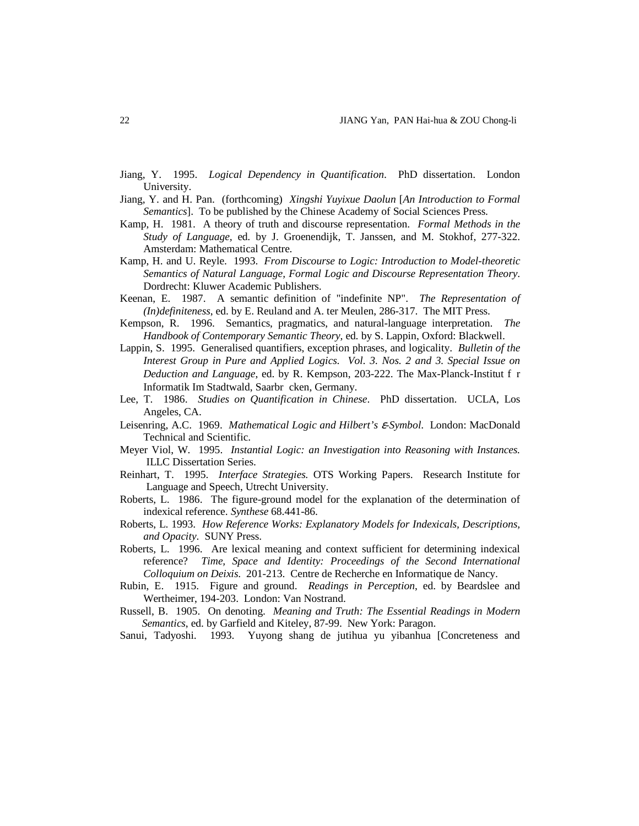- Jiang, Y. 1995. *Logical Dependency in Quantification*. PhD dissertation. London University.
- Jiang, Y. and H. Pan. (forthcoming) *Xingshi Yuyixue Daolun* [*An Introduction to Formal Semantics*]. To be published by the Chinese Academy of Social Sciences Press.
- Kamp, H. 1981. A theory of truth and discourse representation. *Formal Methods in the Study of Language,* ed*.* by J. Groenendijk, T. Janssen, and M. Stokhof, 277-322. Amsterdam: Mathematical Centre.
- Kamp, H. and U. Reyle. 1993. *From Discourse to Logic: Introduction to Model-theoretic Semantics of Natural Language, Formal Logic and Discourse Representation Theory*. Dordrecht: Kluwer Academic Publishers.
- Keenan, E. 1987. A semantic definition of "indefinite NP". *The Representation of (In)definiteness*, ed. by E. Reuland and A. ter Meulen, 286-317. The MIT Press.
- Kempson, R. 1996. Semantics, pragmatics, and natural-language interpretation. *The Handbook of Contemporary Semantic Theory,* ed*.* by S. Lappin, Oxford: Blackwell.
- Lappin, S. 1995. Generalised quantifiers, exception phrases, and logicality. *Bulletin of the Interest Group in Pure and Applied Logics*. *Vol. 3. Nos. 2 and 3. Special Issue on Deduction and Language*, ed. by R. Kempson, 203-222. The Max-Planck-Institut  $f(r)$ Informatik Im Stadtwald, Saarbr cken, Germany.
- Lee, T. 1986. *Studies on Quantification in Chinese*. PhD dissertation. UCLA, Los Angeles, CA.
- Leisenring, A.C. 1969. *Mathematical Logic and Hilbert's* ε*-Symbol*. London: MacDonald Technical and Scientific.
- Meyer Viol, W. 1995. *Instantial Logic: an Investigation into Reasoning with Instances.* ILLC Dissertation Series.
- Reinhart, T. 1995. *Interface Strategies.* OTS Working Papers. Research Institute for Language and Speech, Utrecht University.
- Roberts, L. 1986. The figure-ground model for the explanation of the determination of indexical reference. *Synthese* 68.441-86.
- Roberts, L. 1993. *How Reference Works: Explanatory Models for Indexicals, Descriptions, and Opacity*. SUNY Press.
- Roberts, L. 1996. Are lexical meaning and context sufficient for determining indexical reference? *Time, Space and Identity: Proceedings of the Second International Colloquium on Deixis*. 201-213. Centre de Recherche en Informatique de Nancy.
- Rubin, E. 1915. Figure and ground. *Readings in Perception*, ed. by Beardslee and Wertheimer, 194-203. London: Van Nostrand.
- Russell, B. 1905. On denoting. *Meaning and Truth: The Essential Readings in Modern Semantics*, ed. by Garfield and Kiteley, 87-99. New York: Paragon.
- Sanui, Tadyoshi. 1993. Yuyong shang de jutihua yu yibanhua [Concreteness and